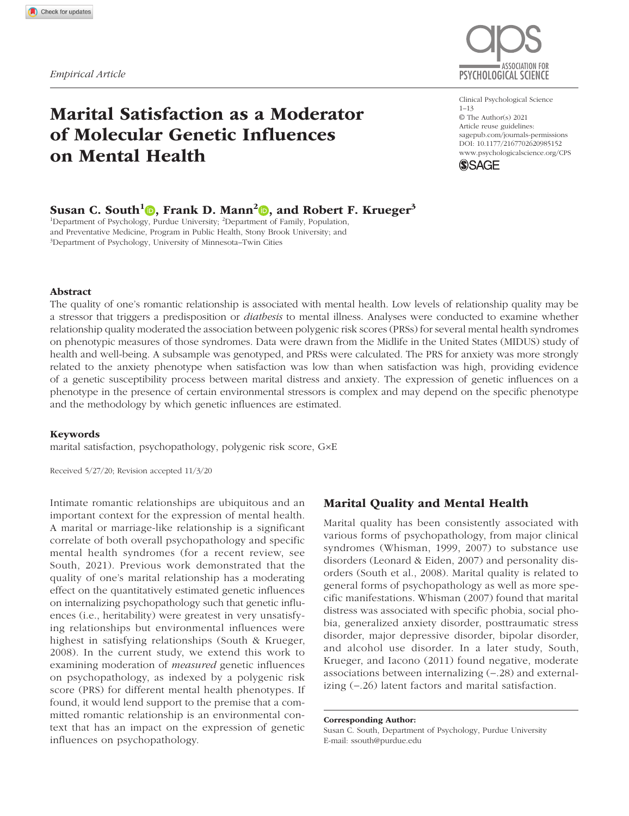# Marital Satisfaction as a Moderator of Molecular Genetic Influences on Mental Health



https://doi.org/10.1177/2167702620985152 DOI: 10.1177/2167702620985152 Clinical Psychological Science 1–13 © The Author(s) 2021 Article reuse guidelines: sagepub.com/journals-permissions www.psychologicalscience.org/CPS



# Susan C. South<sup>1</sup><sup>0</sup>, Frank D. Mann<sup>2</sup><sup>0</sup>, and Robert F. Krueger<sup>3</sup>

<sup>1</sup>Department of Psychology, Purdue University; <sup>2</sup>Department of Family, Population, and Preventative Medicine, Program in Public Health, Stony Brook University; and 3 Department of Psychology, University of Minnesota–Twin Cities

### Abstract

The quality of one's romantic relationship is associated with mental health. Low levels of relationship quality may be a stressor that triggers a predisposition or *diathesis* to mental illness. Analyses were conducted to examine whether relationship quality moderated the association between polygenic risk scores (PRSs) for several mental health syndromes on phenotypic measures of those syndromes. Data were drawn from the Midlife in the United States (MIDUS) study of health and well-being. A subsample was genotyped, and PRSs were calculated. The PRS for anxiety was more strongly related to the anxiety phenotype when satisfaction was low than when satisfaction was high, providing evidence of a genetic susceptibility process between marital distress and anxiety. The expression of genetic influences on a phenotype in the presence of certain environmental stressors is complex and may depend on the specific phenotype and the methodology by which genetic influences are estimated.

#### Keywords

marital satisfaction, psychopathology, polygenic risk score, G×E

Received 5/27/20; Revision accepted 11/3/20

Intimate romantic relationships are ubiquitous and an important context for the expression of mental health. A marital or marriage-like relationship is a significant correlate of both overall psychopathology and specific mental health syndromes (for a recent review, see South, 2021). Previous work demonstrated that the quality of one's marital relationship has a moderating effect on the quantitatively estimated genetic influences on internalizing psychopathology such that genetic influences (i.e., heritability) were greatest in very unsatisfying relationships but environmental influences were highest in satisfying relationships (South & Krueger, 2008). In the current study, we extend this work to examining moderation of *measured* genetic influences on psychopathology, as indexed by a polygenic risk score (PRS) for different mental health phenotypes. If found, it would lend support to the premise that a committed romantic relationship is an environmental context that has an impact on the expression of genetic influences on psychopathology.

## Marital Quality and Mental Health

Marital quality has been consistently associated with various forms of psychopathology, from major clinical syndromes (Whisman, 1999, 2007) to substance use disorders (Leonard & Eiden, 2007) and personality disorders (South et al., 2008). Marital quality is related to general forms of psychopathology as well as more specific manifestations. Whisman (2007) found that marital distress was associated with specific phobia, social phobia, generalized anxiety disorder, posttraumatic stress disorder, major depressive disorder, bipolar disorder, and alcohol use disorder. In a later study, South, Krueger, and Iacono (2011) found negative, moderate associations between internalizing  $(-.28)$  and externalizing  $(-.26)$  latent factors and marital satisfaction.

#### Corresponding Author:

Susan C. South, Department of Psychology, Purdue University E-mail: ssouth@purdue.edu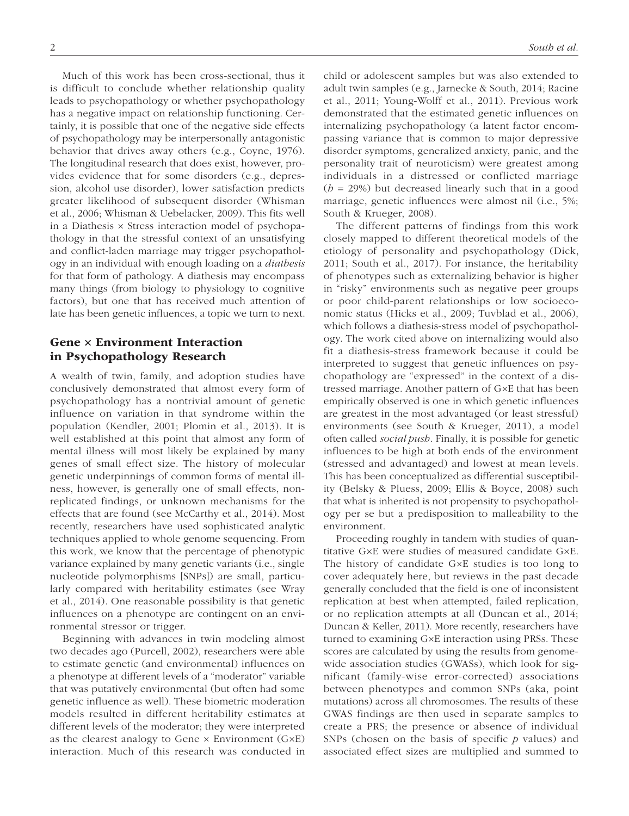Much of this work has been cross-sectional, thus it is difficult to conclude whether relationship quality leads to psychopathology or whether psychopathology has a negative impact on relationship functioning. Certainly, it is possible that one of the negative side effects of psychopathology may be interpersonally antagonistic behavior that drives away others (e.g., Coyne, 1976). The longitudinal research that does exist, however, provides evidence that for some disorders (e.g., depression, alcohol use disorder), lower satisfaction predicts greater likelihood of subsequent disorder (Whisman et al., 2006; Whisman & Uebelacker, 2009). This fits well in a Diathesis × Stress interaction model of psychopathology in that the stressful context of an unsatisfying and conflict-laden marriage may trigger psychopathology in an individual with enough loading on a *diathesis* for that form of pathology. A diathesis may encompass many things (from biology to physiology to cognitive factors), but one that has received much attention of late has been genetic influences, a topic we turn to next.

# Gene × Environment Interaction in Psychopathology Research

A wealth of twin, family, and adoption studies have conclusively demonstrated that almost every form of psychopathology has a nontrivial amount of genetic influence on variation in that syndrome within the population (Kendler, 2001; Plomin et al., 2013). It is well established at this point that almost any form of mental illness will most likely be explained by many genes of small effect size. The history of molecular genetic underpinnings of common forms of mental illness, however, is generally one of small effects, nonreplicated findings, or unknown mechanisms for the effects that are found (see McCarthy et al., 2014). Most recently, researchers have used sophisticated analytic techniques applied to whole genome sequencing. From this work, we know that the percentage of phenotypic variance explained by many genetic variants (i.e., single nucleotide polymorphisms [SNPs]) are small, particularly compared with heritability estimates (see Wray et al., 2014). One reasonable possibility is that genetic influences on a phenotype are contingent on an environmental stressor or trigger.

Beginning with advances in twin modeling almost two decades ago (Purcell, 2002), researchers were able to estimate genetic (and environmental) influences on a phenotype at different levels of a "moderator" variable that was putatively environmental (but often had some genetic influence as well). These biometric moderation models resulted in different heritability estimates at different levels of the moderator; they were interpreted as the clearest analogy to Gene × Environment (G×E) interaction. Much of this research was conducted in child or adolescent samples but was also extended to adult twin samples (e.g., Jarnecke & South, 2014; Racine et al., 2011; Young-Wolff et al., 2011). Previous work demonstrated that the estimated genetic influences on internalizing psychopathology (a latent factor encompassing variance that is common to major depressive disorder symptoms, generalized anxiety, panic, and the personality trait of neuroticism) were greatest among individuals in a distressed or conflicted marriage (*h* = 29%) but decreased linearly such that in a good marriage, genetic influences were almost nil (i.e., 5%; South & Krueger, 2008).

The different patterns of findings from this work closely mapped to different theoretical models of the etiology of personality and psychopathology (Dick, 2011; South et al., 2017). For instance, the heritability of phenotypes such as externalizing behavior is higher in "risky" environments such as negative peer groups or poor child-parent relationships or low socioeconomic status (Hicks et al., 2009; Tuvblad et al., 2006), which follows a diathesis-stress model of psychopathology. The work cited above on internalizing would also fit a diathesis-stress framework because it could be interpreted to suggest that genetic influences on psychopathology are "expressed" in the context of a distressed marriage. Another pattern of G×E that has been empirically observed is one in which genetic influences are greatest in the most advantaged (or least stressful) environments (see South & Krueger, 2011), a model often called *social push*. Finally, it is possible for genetic influences to be high at both ends of the environment (stressed and advantaged) and lowest at mean levels. This has been conceptualized as differential susceptibility (Belsky & Pluess, 2009; Ellis & Boyce, 2008) such that what is inherited is not propensity to psychopathology per se but a predisposition to malleability to the environment.

Proceeding roughly in tandem with studies of quantitative G×E were studies of measured candidate G×E. The history of candidate G×E studies is too long to cover adequately here, but reviews in the past decade generally concluded that the field is one of inconsistent replication at best when attempted, failed replication, or no replication attempts at all (Duncan et al., 2014; Duncan & Keller, 2011). More recently, researchers have turned to examining G×E interaction using PRSs. These scores are calculated by using the results from genomewide association studies (GWASs), which look for significant (family-wise error-corrected) associations between phenotypes and common SNPs (aka, point mutations) across all chromosomes. The results of these GWAS findings are then used in separate samples to create a PRS; the presence or absence of individual SNPs (chosen on the basis of specific *p* values) and associated effect sizes are multiplied and summed to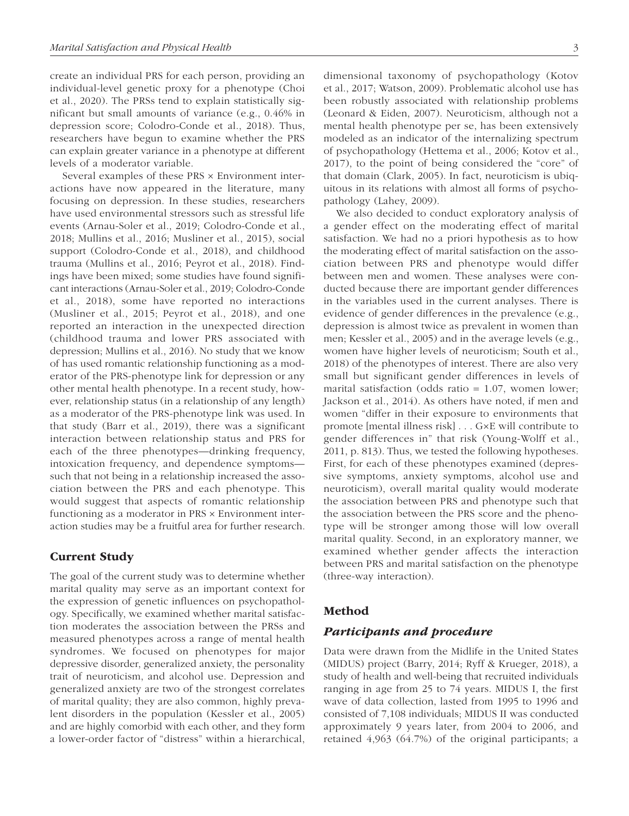create an individual PRS for each person, providing an individual-level genetic proxy for a phenotype (Choi et al., 2020). The PRSs tend to explain statistically significant but small amounts of variance (e.g., 0.46% in depression score; Colodro-Conde et al., 2018). Thus, researchers have begun to examine whether the PRS can explain greater variance in a phenotype at different levels of a moderator variable.

Several examples of these PRS × Environment interactions have now appeared in the literature, many focusing on depression. In these studies, researchers have used environmental stressors such as stressful life events (Arnau-Soler et al., 2019; Colodro-Conde et al., 2018; Mullins et al., 2016; Musliner et al., 2015), social support (Colodro-Conde et al., 2018), and childhood trauma (Mullins et al., 2016; Peyrot et al., 2018). Findings have been mixed; some studies have found significant interactions (Arnau-Soler et al., 2019; Colodro-Conde et al., 2018), some have reported no interactions (Musliner et al., 2015; Peyrot et al., 2018), and one reported an interaction in the unexpected direction (childhood trauma and lower PRS associated with depression; Mullins et al., 2016). No study that we know of has used romantic relationship functioning as a moderator of the PRS-phenotype link for depression or any other mental health phenotype. In a recent study, however, relationship status (in a relationship of any length) as a moderator of the PRS-phenotype link was used. In that study (Barr et al., 2019), there was a significant interaction between relationship status and PRS for each of the three phenotypes—drinking frequency, intoxication frequency, and dependence symptoms such that not being in a relationship increased the association between the PRS and each phenotype. This would suggest that aspects of romantic relationship functioning as a moderator in PRS × Environment interaction studies may be a fruitful area for further research.

## Current Study

The goal of the current study was to determine whether marital quality may serve as an important context for the expression of genetic influences on psychopathology. Specifically, we examined whether marital satisfaction moderates the association between the PRSs and measured phenotypes across a range of mental health syndromes. We focused on phenotypes for major depressive disorder, generalized anxiety, the personality trait of neuroticism, and alcohol use. Depression and generalized anxiety are two of the strongest correlates of marital quality; they are also common, highly prevalent disorders in the population (Kessler et al., 2005) and are highly comorbid with each other, and they form a lower-order factor of "distress" within a hierarchical, dimensional taxonomy of psychopathology (Kotov et al., 2017; Watson, 2009). Problematic alcohol use has been robustly associated with relationship problems (Leonard & Eiden, 2007). Neuroticism, although not a mental health phenotype per se, has been extensively modeled as an indicator of the internalizing spectrum of psychopathology (Hettema et al., 2006; Kotov et al., 2017), to the point of being considered the "core" of that domain (Clark, 2005). In fact, neuroticism is ubiquitous in its relations with almost all forms of psychopathology (Lahey, 2009).

We also decided to conduct exploratory analysis of a gender effect on the moderating effect of marital satisfaction. We had no a priori hypothesis as to how the moderating effect of marital satisfaction on the association between PRS and phenotype would differ between men and women. These analyses were conducted because there are important gender differences in the variables used in the current analyses. There is evidence of gender differences in the prevalence (e.g., depression is almost twice as prevalent in women than men; Kessler et al., 2005) and in the average levels (e.g., women have higher levels of neuroticism; South et al., 2018) of the phenotypes of interest. There are also very small but significant gender differences in levels of marital satisfaction (odds ratio = 1.07, women lower; Jackson et al., 2014). As others have noted, if men and women "differ in their exposure to environments that promote [mental illness risk] . . . G×E will contribute to gender differences in" that risk (Young-Wolff et al., 2011, p. 813). Thus, we tested the following hypotheses. First, for each of these phenotypes examined (depressive symptoms, anxiety symptoms, alcohol use and neuroticism), overall marital quality would moderate the association between PRS and phenotype such that the association between the PRS score and the phenotype will be stronger among those will low overall marital quality. Second, in an exploratory manner, we examined whether gender affects the interaction between PRS and marital satisfaction on the phenotype (three-way interaction).

## Method

## *Participants and procedure*

Data were drawn from the Midlife in the United States (MIDUS) project (Barry, 2014; Ryff & Krueger, 2018), a study of health and well-being that recruited individuals ranging in age from 25 to 74 years. MIDUS I, the first wave of data collection, lasted from 1995 to 1996 and consisted of 7,108 individuals; MIDUS II was conducted approximately 9 years later, from 2004 to 2006, and retained 4,963 (64.7%) of the original participants; a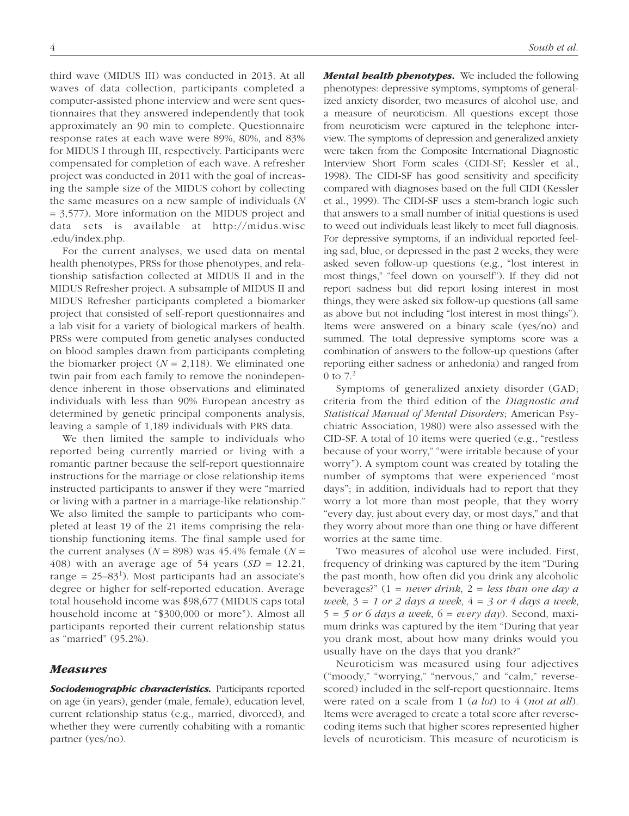third wave (MIDUS III) was conducted in 2013. At all waves of data collection, participants completed a computer-assisted phone interview and were sent questionnaires that they answered independently that took approximately an 90 min to complete. Questionnaire response rates at each wave were 89%, 80%, and 83% for MIDUS I through III, respectively. Participants were compensated for completion of each wave. A refresher project was conducted in 2011 with the goal of increasing the sample size of the MIDUS cohort by collecting the same measures on a new sample of individuals (*N* = 3,577). More information on the MIDUS project and data sets is available at http://midus.wisc .edu/index.php.

For the current analyses, we used data on mental health phenotypes, PRSs for those phenotypes, and relationship satisfaction collected at MIDUS II and in the MIDUS Refresher project. A subsample of MIDUS II and MIDUS Refresher participants completed a biomarker project that consisted of self-report questionnaires and a lab visit for a variety of biological markers of health. PRSs were computed from genetic analyses conducted on blood samples drawn from participants completing the biomarker project  $(N = 2,118)$ . We eliminated one twin pair from each family to remove the nonindependence inherent in those observations and eliminated individuals with less than 90% European ancestry as determined by genetic principal components analysis, leaving a sample of 1,189 individuals with PRS data.

We then limited the sample to individuals who reported being currently married or living with a romantic partner because the self-report questionnaire instructions for the marriage or close relationship items instructed participants to answer if they were "married or living with a partner in a marriage-like relationship." We also limited the sample to participants who completed at least 19 of the 21 items comprising the relationship functioning items. The final sample used for the current analyses ( $N = 898$ ) was 45.4% female ( $N =$ 408) with an average age of 54 years  $(SD = 12.21,$ range =  $25-83<sup>1</sup>$ ). Most participants had an associate's degree or higher for self-reported education. Average total household income was \$98,677 (MIDUS caps total household income at "\$300,000 or more"). Almost all participants reported their current relationship status as "married" (95.2%).

## *Measures*

*Sociodemographic characteristics.* Participants reported on age (in years), gender (male, female), education level, current relationship status (e.g., married, divorced), and whether they were currently cohabiting with a romantic partner (yes/no).

*Mental health phenotypes.* We included the following phenotypes: depressive symptoms, symptoms of generalized anxiety disorder, two measures of alcohol use, and a measure of neuroticism. All questions except those from neuroticism were captured in the telephone interview. The symptoms of depression and generalized anxiety were taken from the Composite International Diagnostic Interview Short Form scales (CIDI-SF; Kessler et al., 1998). The CIDI-SF has good sensitivity and specificity compared with diagnoses based on the full CIDI (Kessler et al., 1999). The CIDI-SF uses a stem-branch logic such that answers to a small number of initial questions is used to weed out individuals least likely to meet full diagnosis. For depressive symptoms, if an individual reported feeling sad, blue, or depressed in the past 2 weeks, they were asked seven follow-up questions (e.g., "lost interest in most things," "feel down on yourself"). If they did not report sadness but did report losing interest in most things, they were asked six follow-up questions (all same as above but not including "lost interest in most things"). Items were answered on a binary scale (yes/no) and summed. The total depressive symptoms score was a combination of answers to the follow-up questions (after reporting either sadness or anhedonia) and ranged from 0 to  $7.<sup>2</sup>$ 

Symptoms of generalized anxiety disorder (GAD; criteria from the third edition of the *Diagnostic and Statistical Manual of Mental Disorders*; American Psychiatric Association, 1980) were also assessed with the CID-SF. A total of 10 items were queried (e.g., "restless because of your worry," "were irritable because of your worry"). A symptom count was created by totaling the number of symptoms that were experienced "most days"; in addition, individuals had to report that they worry a lot more than most people, that they worry "every day, just about every day, or most days," and that they worry about more than one thing or have different worries at the same time.

Two measures of alcohol use were included. First, frequency of drinking was captured by the item "During the past month, how often did you drink any alcoholic beverages?" (1 = *never drink*, 2 = *less than one day a week*, 3 = *1 or 2 days a week*, 4 = *3 or 4 days a week*, 5 = *5 or 6 days a week*, 6 = *every day*). Second, maximum drinks was captured by the item "During that year you drank most, about how many drinks would you usually have on the days that you drank?"

Neuroticism was measured using four adjectives ("moody," "worrying," "nervous," and "calm," reversescored) included in the self-report questionnaire. Items were rated on a scale from 1 (*a lot*) to 4 (*not at all*). Items were averaged to create a total score after reversecoding items such that higher scores represented higher levels of neuroticism. This measure of neuroticism is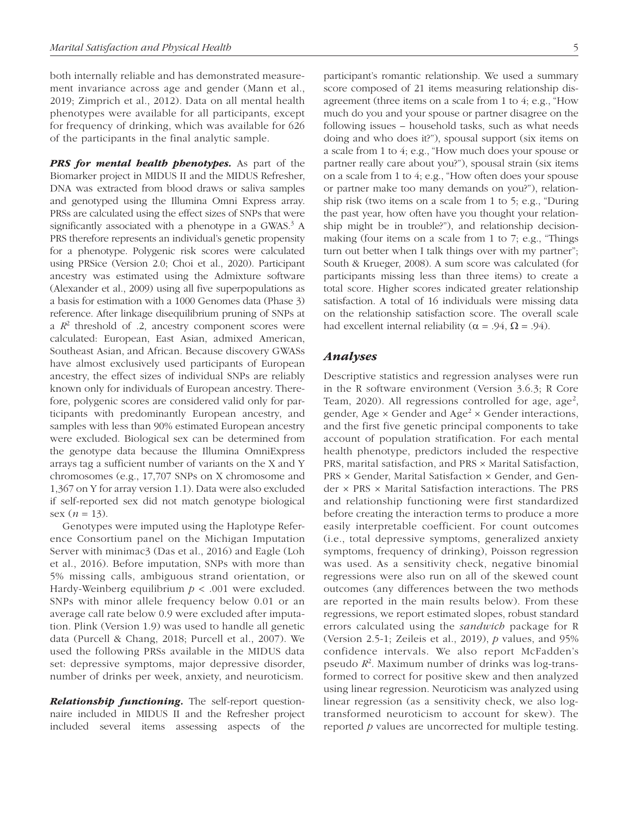both internally reliable and has demonstrated measurement invariance across age and gender (Mann et al., 2019; Zimprich et al., 2012). Data on all mental health phenotypes were available for all participants, except for frequency of drinking, which was available for 626 of the participants in the final analytic sample.

*PRS for mental health phenotypes.* As part of the Biomarker project in MIDUS II and the MIDUS Refresher, DNA was extracted from blood draws or saliva samples and genotyped using the Illumina Omni Express array. PRSs are calculated using the effect sizes of SNPs that were significantly associated with a phenotype in a GWAS. $3$  A PRS therefore represents an individual's genetic propensity for a phenotype. Polygenic risk scores were calculated using PRSice (Version 2.0; Choi et al., 2020). Participant ancestry was estimated using the Admixture software (Alexander et al., 2009) using all five superpopulations as a basis for estimation with a 1000 Genomes data (Phase 3) reference. After linkage disequilibrium pruning of SNPs at a  $R^2$  threshold of .2, ancestry component scores were calculated: European, East Asian, admixed American, Southeast Asian, and African. Because discovery GWASs have almost exclusively used participants of European ancestry, the effect sizes of individual SNPs are reliably known only for individuals of European ancestry. Therefore, polygenic scores are considered valid only for participants with predominantly European ancestry, and samples with less than 90% estimated European ancestry were excluded. Biological sex can be determined from the genotype data because the Illumina OmniExpress arrays tag a sufficient number of variants on the X and Y chromosomes (e.g., 17,707 SNPs on X chromosome and 1,367 on Y for array version 1.1). Data were also excluded if self-reported sex did not match genotype biological sex  $(n = 13)$ .

Genotypes were imputed using the Haplotype Reference Consortium panel on the Michigan Imputation Server with minimac3 (Das et al., 2016) and Eagle (Loh et al., 2016). Before imputation, SNPs with more than 5% missing calls, ambiguous strand orientation, or Hardy-Weinberg equilibrium *p* < .001 were excluded. SNPs with minor allele frequency below 0.01 or an average call rate below 0.9 were excluded after imputation. Plink (Version 1.9) was used to handle all genetic data (Purcell & Chang, 2018; Purcell et al., 2007). We used the following PRSs available in the MIDUS data set: depressive symptoms, major depressive disorder, number of drinks per week, anxiety, and neuroticism.

*Relationship functioning.* The self-report questionnaire included in MIDUS II and the Refresher project included several items assessing aspects of the participant's romantic relationship. We used a summary score composed of 21 items measuring relationship disagreement (three items on a scale from 1 to 4; e.g., "How much do you and your spouse or partner disagree on the following issues – household tasks, such as what needs doing and who does it?"), spousal support (six items on a scale from 1 to 4; e.g., "How much does your spouse or partner really care about you?"), spousal strain (six items on a scale from 1 to 4; e.g., "How often does your spouse or partner make too many demands on you?"), relationship risk (two items on a scale from 1 to 5; e.g., "During the past year, how often have you thought your relationship might be in trouble?"), and relationship decisionmaking (four items on a scale from 1 to 7; e.g., "Things turn out better when I talk things over with my partner"; South & Krueger, 2008). A sum score was calculated (for participants missing less than three items) to create a total score. Higher scores indicated greater relationship satisfaction. A total of 16 individuals were missing data on the relationship satisfaction score. The overall scale had excellent internal reliability ( $\alpha$  = .94,  $\Omega$  = .94).

# *Analyses*

Descriptive statistics and regression analyses were run in the R software environment (Version 3.6.3; R Core Team, 2020). All regressions controlled for age,  $age^2$ , gender, Age  $\times$  Gender and Age<sup>2</sup>  $\times$  Gender interactions, and the first five genetic principal components to take account of population stratification. For each mental health phenotype, predictors included the respective PRS, marital satisfaction, and PRS × Marital Satisfaction, PRS × Gender, Marital Satisfaction × Gender, and Gender × PRS × Marital Satisfaction interactions. The PRS and relationship functioning were first standardized before creating the interaction terms to produce a more easily interpretable coefficient. For count outcomes (i.e., total depressive symptoms, generalized anxiety symptoms, frequency of drinking), Poisson regression was used. As a sensitivity check, negative binomial regressions were also run on all of the skewed count outcomes (any differences between the two methods are reported in the main results below). From these regressions, we report estimated slopes, robust standard errors calculated using the *sandwich* package for R (Version 2.5-1; Zeileis et al., 2019), *p* values, and 95% confidence intervals. We also report McFadden's pseudo  $R^2$ . Maximum number of drinks was log-transformed to correct for positive skew and then analyzed using linear regression. Neuroticism was analyzed using linear regression (as a sensitivity check, we also logtransformed neuroticism to account for skew). The reported *p* values are uncorrected for multiple testing.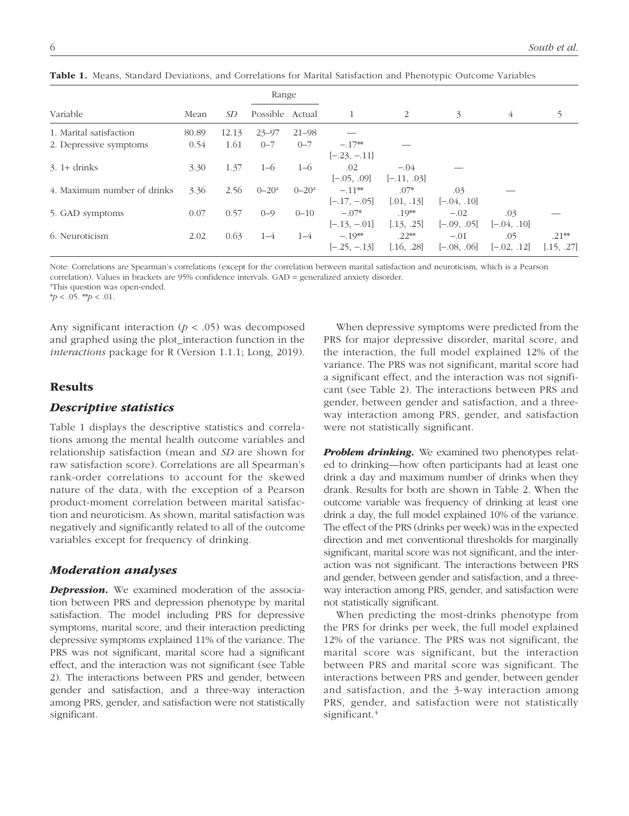|                             |       |       | Range           |            |                |               |               |               |            |
|-----------------------------|-------|-------|-----------------|------------|----------------|---------------|---------------|---------------|------------|
| Variable                    | Mean  | SD    | Possible Actual |            |                | 2             | 3             | 4             |            |
| 1. Marital satisfaction     | 80.89 | 12.13 | $23 - 97$       | $21 - 98$  |                |               |               |               |            |
| 2. Depressive symptoms      | 0.54  | 1.61  | $0 - 7$         | $0 - 7$    | $-.17**$       |               |               |               |            |
|                             |       |       |                 |            | $[-.23, -.11]$ |               |               |               |            |
| $3.1+$ drinks               | 3.30  | 1.37  | $1 - 6$         | $1 - 6$    | .02            | $-.04$        |               |               |            |
|                             |       |       |                 |            | $[-.05, .09]$  | $[-.11, .03]$ |               |               |            |
| 4. Maximum number of drinks | 3.36  | 2.56  | $0 - 20^a$      | $0 - 20^a$ | $-.11***$      | $.07*$        | .03           |               |            |
|                             |       |       |                 |            | $[-.17, -.05]$ | [.01, .13]    | $[-.04, .10]$ |               |            |
| 5. GAD symptoms             | 0.07  | 0.57  | $0 - 9$         | $0 - 10$   | $-.07*$        | $.19**$       | $-.02$        | .03           |            |
|                             |       |       |                 |            | $[-.13, -.01]$ | [.13, .25]    | $[-.09, .05]$ | $[-.04, .10]$ |            |
| 6. Neuroticism              | 2.02  | 0.63  | $1 - 4$         | $1 - 4$    | $-.19**$       | $.22**$       | $-.01$        | .05           | $.21**$    |
|                             |       |       |                 |            | $[-.25, -.13]$ | [.16, .28]    | $[-.08, .06]$ | $[-.02, .12]$ | [.15, .27] |

Table 1. Means, Standard Deviations, and Correlations for Marital Satisfaction and Phenotypic Outcome Variables

Note: Correlations are Spearman's correlations (except for the correlation between marital satisfaction and neuroticism, which is a Pearson correlation). Values in brackets are 95% confidence intervals. GAD = generalized anxiety disorder.

<sup>a</sup>This question was open-ended.

\**p* < .05. \*\**p* < .01.

Any significant interaction  $(p < .05)$  was decomposed and graphed using the plot\_interaction function in the *interactions* package for R (Version 1.1.1; Long, 2019).

## Results

## *Descriptive statistics*

Table 1 displays the descriptive statistics and correlations among the mental health outcome variables and relationship satisfaction (mean and *SD* are shown for raw satisfaction score). Correlations are all Spearman's rank-order correlations to account for the skewed nature of the data, with the exception of a Pearson product-moment correlation between marital satisfaction and neuroticism. As shown, marital satisfaction was negatively and significantly related to all of the outcome variables except for frequency of drinking.

## *Moderation analyses*

*Depression.* We examined moderation of the association between PRS and depression phenotype by marital satisfaction. The model including PRS for depressive symptoms, marital score, and their interaction predicting depressive symptoms explained 11% of the variance. The PRS was not significant, marital score had a significant effect, and the interaction was not significant (see Table 2). The interactions between PRS and gender, between gender and satisfaction, and a three-way interaction among PRS, gender, and satisfaction were not statistically significant.

When depressive symptoms were predicted from the PRS for major depressive disorder, marital score, and the interaction, the full model explained 12% of the variance. The PRS was not significant, marital score had a significant effect, and the interaction was not significant (see Table 2). The interactions between PRS and gender, between gender and satisfaction, and a threeway interaction among PRS, gender, and satisfaction were not statistically significant.

**Problem drinking.** We examined two phenotypes related to drinking—how often participants had at least one drink a day and maximum number of drinks when they drank. Results for both are shown in Table 2. When the outcome variable was frequency of drinking at least one drink a day, the full model explained 10% of the variance. The effect of the PRS (drinks per week) was in the expected direction and met conventional thresholds for marginally significant, marital score was not significant, and the interaction was not significant. The interactions between PRS and gender, between gender and satisfaction, and a threeway interaction among PRS, gender, and satisfaction were not statistically significant.

When predicting the most-drinks phenotype from the PRS for drinks per week, the full model explained 12% of the variance. The PRS was not significant, the marital score was significant, but the interaction between PRS and marital score was significant. The interactions between PRS and gender, between gender and satisfaction, and the 3-way interaction among PRS, gender, and satisfaction were not statistically significant.<sup>4</sup>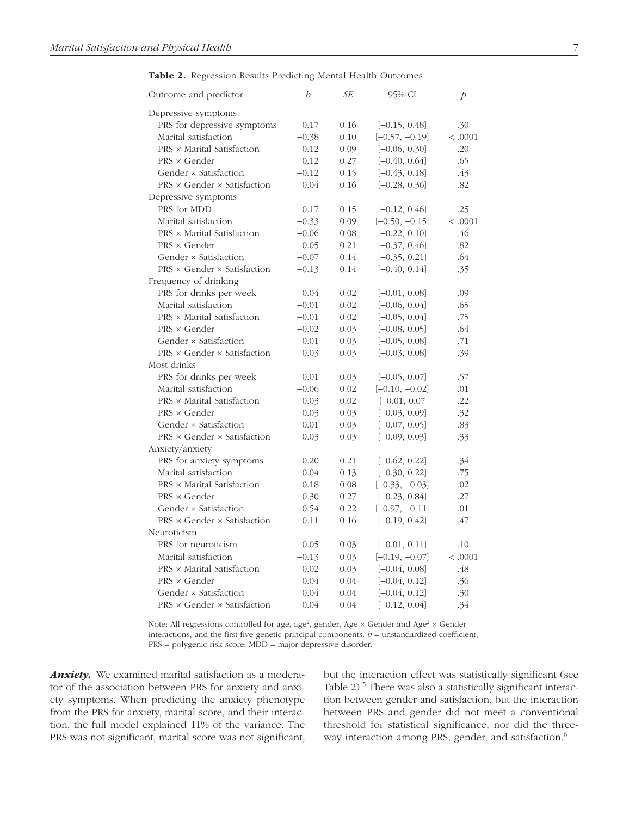Table 2. Regression Results Predicting Mental Health Outcomes

| Outcome and predictor                  | b       | SЕ   | 95% CI           | Þ       |
|----------------------------------------|---------|------|------------------|---------|
| Depressive symptoms                    |         |      |                  |         |
| PRS for depressive symptoms            | 0.17    | 0.16 | $[-0.15, 0.48]$  | .30     |
| Marital satisfaction                   | $-0.38$ | 0.10 | $[-0.57, -0.19]$ | < .0001 |
| PRS × Marital Satisfaction             | 0.12    | 0.09 | $[-0.06, 0.30]$  | .20     |
| $PRS \times Gender$                    | 0.12    | 0.27 | $[-0.40, 0.64]$  | .65     |
| Gender × Satisfaction                  | $-0.12$ | 0.15 | $[-0.43, 0.18]$  | .43     |
| PRS × Gender × Satisfaction            | 0.04    | 0.16 | $[-0.28, 0.36]$  | .82     |
| Depressive symptoms                    |         |      |                  |         |
| PRS for MDD                            | 0.17    | 0.15 | $[-0.12, 0.46]$  | .25     |
| Marital satisfaction                   | $-0.33$ | 0.09 | $[-0.50, -0.15]$ | < .0001 |
| PRS × Marital Satisfaction             | $-0.06$ | 0.08 | $[-0.22, 0.10]$  | .46     |
| PRS × Gender                           | 0.05    | 0.21 | $[-0.37, 0.46]$  | .82     |
| Gender × Satisfaction                  | $-0.07$ | 0.14 | $[-0.35, 0.21]$  | .64     |
| $PRS \times Gender \times Satisfactor$ | $-0.13$ | 0.14 | $[-0.40, 0.14]$  | .35     |
| Frequency of drinking                  |         |      |                  |         |
| PRS for drinks per week                | 0.04    | 0.02 | $[-0.01, 0.08]$  | .09     |
| Marital satisfaction                   | $-0.01$ | 0.02 | $[-0.06, 0.04]$  | .65     |
| PRS × Marital Satisfaction             | $-0.01$ | 0.02 | $[-0.05, 0.04]$  | .75     |
| $PRS \times Gender$                    | $-0.02$ | 0.03 | $[-0.08, 0.05]$  | .64     |
| Gender × Satisfaction                  | 0.01    | 0.03 | $[-0.05, 0.08]$  | .71     |
| PRS × Gender × Satisfaction            | 0.03    | 0.03 | $[-0.03, 0.08]$  | .39     |
| Most drinks                            |         |      |                  |         |
| PRS for drinks per week                | 0.01    | 0.03 | $[-0.05, 0.07]$  | .57     |
| Marital satisfaction                   | $-0.06$ | 0.02 | $[-0.10, -0.02]$ | .01     |
| PRS × Marital Satisfaction             | 0.03    | 0.02 | $[-0.01, 0.07]$  | .22     |
| $PRS \times Gender$                    | 0.03    | 0.03 | $[-0.03, 0.09]$  | .32     |
| Gender × Satisfaction                  | $-0.01$ | 0.03 | $[-0.07, 0.05]$  | .83     |
| $PRS \times Gender \times Satisfactor$ | $-0.03$ | 0.03 | $[-0.09, 0.03]$  | .33     |
| Anxiety/anxiety                        |         |      |                  |         |
| PRS for anxiety symptoms               | $-0.20$ | 0.21 | $[-0.62, 0.22]$  | .34     |
| Marital satisfaction                   | $-0.04$ | 0.13 | $[-0.30, 0.22]$  | .75     |
| PRS × Marital Satisfaction             | $-0.18$ | 0.08 | $[-0.33, -0.03]$ | .02     |
| $PRS \times Gender$                    | 0.30    | 0.27 | $[-0.23, 0.84]$  | .27     |
| Gender × Satisfaction                  | $-0.54$ | 0.22 | $[-0.97, -0.11]$ | .01     |
| PRS × Gender × Satisfaction            | 0.11    | 0.16 | $[-0.19, 0.42]$  | .47     |
| Neuroticism                            |         |      |                  |         |
| PRS for neuroticism                    | 0.05    | 0.03 | $[-0.01, 0.11]$  | .10     |
| Marital satisfaction                   | $-0.13$ | 0.03 | $[-0.19, -0.07]$ | < .0001 |
| PRS × Marital Satisfaction             | 0.02    | 0.03 | $[-0.04, 0.08]$  | .48     |
| $PRS \times Gender$                    | 0.04    | 0.04 | $[-0.04, 0.12]$  | .36     |
| Gender × Satisfaction                  | 0.04    | 0.04 | $[-0.04, 0.12]$  | .30     |
| $PRS \times Gender \times Satisfactor$ | $-0.04$ | 0.04 | $[-0.12, 0.04]$  | .34     |

Note: All regressions controlled for age, age<sup>2</sup>, gender, Age  $\times$  Gender and Age<sup>2</sup>  $\times$  Gender interactions, and the first five genetic principal components.  $b =$  unstandardized coefficient; PRS = polygenic risk score; MDD = major depressive disorder.

*Anxiety.* We examined marital satisfaction as a moderator of the association between PRS for anxiety and anxiety symptoms. When predicting the anxiety phenotype from the PRS for anxiety, marital score, and their interaction, the full model explained 11% of the variance. The PRS was not significant, marital score was not significant, but the interaction effect was statistically significant (see Table 2).<sup>5</sup> There was also a statistically significant interaction between gender and satisfaction, but the interaction between PRS and gender did not meet a conventional threshold for statistical significance, nor did the threeway interaction among PRS, gender, and satisfaction.<sup>6</sup>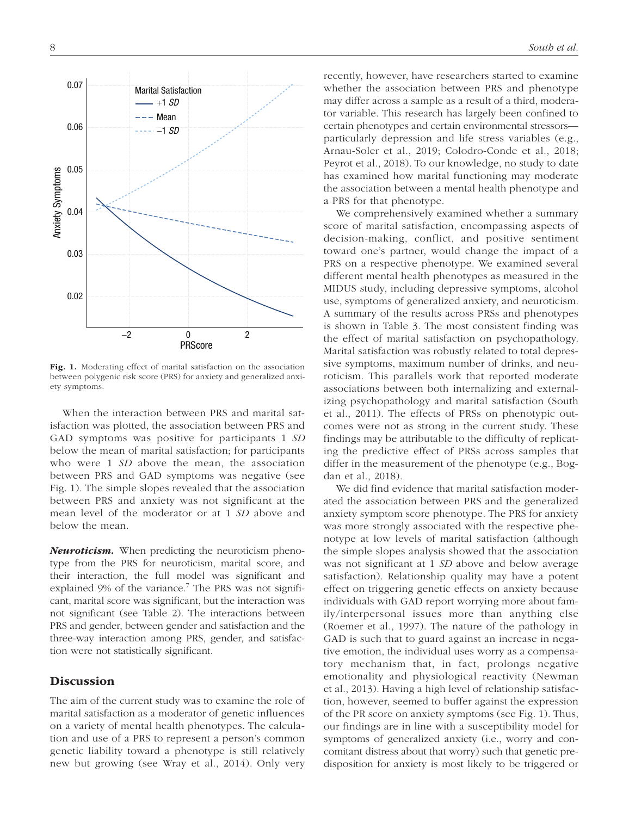

Fig. 1. Moderating effect of marital satisfaction on the association between polygenic risk score (PRS) for anxiety and generalized anxiety symptoms.

When the interaction between PRS and marital satisfaction was plotted, the association between PRS and GAD symptoms was positive for participants 1 *SD* below the mean of marital satisfaction; for participants who were 1 *SD* above the mean, the association between PRS and GAD symptoms was negative (see Fig. 1). The simple slopes revealed that the association between PRS and anxiety was not significant at the mean level of the moderator or at 1 *SD* above and below the mean.

*Neuroticism.* When predicting the neuroticism phenotype from the PRS for neuroticism, marital score, and their interaction, the full model was significant and explained 9% of the variance.<sup>7</sup> The PRS was not significant, marital score was significant, but the interaction was not significant (see Table 2). The interactions between PRS and gender, between gender and satisfaction and the three-way interaction among PRS, gender, and satisfaction were not statistically significant.

## **Discussion**

The aim of the current study was to examine the role of marital satisfaction as a moderator of genetic influences on a variety of mental health phenotypes. The calculation and use of a PRS to represent a person's common genetic liability toward a phenotype is still relatively new but growing (see Wray et al., 2014). Only very recently, however, have researchers started to examine whether the association between PRS and phenotype may differ across a sample as a result of a third, moderator variable. This research has largely been confined to certain phenotypes and certain environmental stressors particularly depression and life stress variables (e.g., Arnau-Soler et al., 2019; Colodro-Conde et al., 2018; Peyrot et al., 2018). To our knowledge, no study to date has examined how marital functioning may moderate the association between a mental health phenotype and a PRS for that phenotype.

We comprehensively examined whether a summary score of marital satisfaction, encompassing aspects of decision-making, conflict, and positive sentiment toward one's partner, would change the impact of a PRS on a respective phenotype. We examined several different mental health phenotypes as measured in the MIDUS study, including depressive symptoms, alcohol use, symptoms of generalized anxiety, and neuroticism. A summary of the results across PRSs and phenotypes is shown in Table 3. The most consistent finding was the effect of marital satisfaction on psychopathology. Marital satisfaction was robustly related to total depressive symptoms, maximum number of drinks, and neuroticism. This parallels work that reported moderate associations between both internalizing and externalizing psychopathology and marital satisfaction (South et al., 2011). The effects of PRSs on phenotypic outcomes were not as strong in the current study. These findings may be attributable to the difficulty of replicating the predictive effect of PRSs across samples that differ in the measurement of the phenotype (e.g., Bogdan et al., 2018).

We did find evidence that marital satisfaction moderated the association between PRS and the generalized anxiety symptom score phenotype. The PRS for anxiety was more strongly associated with the respective phenotype at low levels of marital satisfaction (although the simple slopes analysis showed that the association was not significant at 1 *SD* above and below average satisfaction). Relationship quality may have a potent effect on triggering genetic effects on anxiety because individuals with GAD report worrying more about family/interpersonal issues more than anything else (Roemer et al., 1997). The nature of the pathology in GAD is such that to guard against an increase in negative emotion, the individual uses worry as a compensatory mechanism that, in fact, prolongs negative emotionality and physiological reactivity (Newman et al., 2013). Having a high level of relationship satisfaction, however, seemed to buffer against the expression of the PR score on anxiety symptoms (see Fig. 1). Thus, our findings are in line with a susceptibility model for symptoms of generalized anxiety (i.e., worry and concomitant distress about that worry) such that genetic predisposition for anxiety is most likely to be triggered or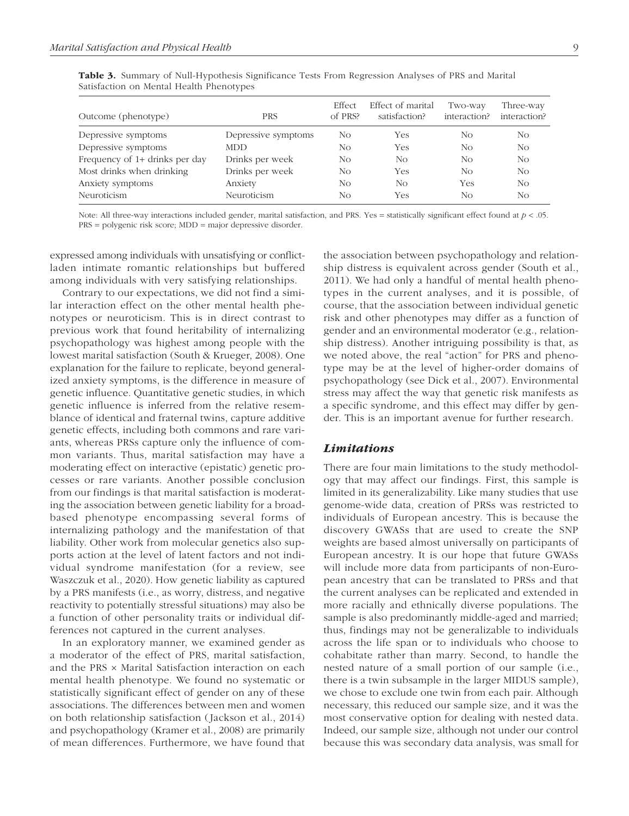| Outcome (phenotype)            | <b>PRS</b>          | Effect<br>of PRS? | Effect of marital<br>satisfaction? | Two-way<br>interaction? | Three-way<br>interaction? |
|--------------------------------|---------------------|-------------------|------------------------------------|-------------------------|---------------------------|
| Depressive symptoms            | Depressive symptoms | No                | Yes                                | No                      | No.                       |
| Depressive symptoms            | <b>MDD</b>          | No                | Yes                                | No                      | No.                       |
| Frequency of 1+ drinks per day | Drinks per week     | No                | No                                 | No.                     | No.                       |
| Most drinks when drinking      | Drinks per week     | No                | Yes                                | No.                     | No.                       |
| Anxiety symptoms               | Anxiety             | No                | No                                 | Yes                     | No.                       |
| Neuroticism                    | Neuroticism         | No                | Yes                                | No                      | No                        |

Table 3. Summary of Null-Hypothesis Significance Tests From Regression Analyses of PRS and Marital Satisfaction on Mental Health Phenotypes

Note: All three-way interactions included gender, marital satisfaction, and PRS. Yes = statistically significant effect found at *p* < .05. PRS = polygenic risk score; MDD = major depressive disorder.

expressed among individuals with unsatisfying or conflictladen intimate romantic relationships but buffered among individuals with very satisfying relationships.

Contrary to our expectations, we did not find a similar interaction effect on the other mental health phenotypes or neuroticism. This is in direct contrast to previous work that found heritability of internalizing psychopathology was highest among people with the lowest marital satisfaction (South & Krueger, 2008). One explanation for the failure to replicate, beyond generalized anxiety symptoms, is the difference in measure of genetic influence. Quantitative genetic studies, in which genetic influence is inferred from the relative resemblance of identical and fraternal twins, capture additive genetic effects, including both commons and rare variants, whereas PRSs capture only the influence of common variants. Thus, marital satisfaction may have a moderating effect on interactive (epistatic) genetic processes or rare variants. Another possible conclusion from our findings is that marital satisfaction is moderating the association between genetic liability for a broadbased phenotype encompassing several forms of internalizing pathology and the manifestation of that liability. Other work from molecular genetics also supports action at the level of latent factors and not individual syndrome manifestation (for a review, see Waszczuk et al., 2020). How genetic liability as captured by a PRS manifests (i.e., as worry, distress, and negative reactivity to potentially stressful situations) may also be a function of other personality traits or individual differences not captured in the current analyses.

In an exploratory manner, we examined gender as a moderator of the effect of PRS, marital satisfaction, and the PRS × Marital Satisfaction interaction on each mental health phenotype. We found no systematic or statistically significant effect of gender on any of these associations. The differences between men and women on both relationship satisfaction (Jackson et al., 2014) and psychopathology (Kramer et al., 2008) are primarily of mean differences. Furthermore, we have found that the association between psychopathology and relationship distress is equivalent across gender (South et al., 2011). We had only a handful of mental health phenotypes in the current analyses, and it is possible, of course, that the association between individual genetic risk and other phenotypes may differ as a function of gender and an environmental moderator (e.g., relationship distress). Another intriguing possibility is that, as we noted above, the real "action" for PRS and phenotype may be at the level of higher-order domains of psychopathology (see Dick et al., 2007). Environmental stress may affect the way that genetic risk manifests as a specific syndrome, and this effect may differ by gender. This is an important avenue for further research.

## *Limitations*

There are four main limitations to the study methodology that may affect our findings. First, this sample is limited in its generalizability. Like many studies that use genome-wide data, creation of PRSs was restricted to individuals of European ancestry. This is because the discovery GWASs that are used to create the SNP weights are based almost universally on participants of European ancestry. It is our hope that future GWASs will include more data from participants of non-European ancestry that can be translated to PRSs and that the current analyses can be replicated and extended in more racially and ethnically diverse populations. The sample is also predominantly middle-aged and married; thus, findings may not be generalizable to individuals across the life span or to individuals who choose to cohabitate rather than marry. Second, to handle the nested nature of a small portion of our sample (i.e., there is a twin subsample in the larger MIDUS sample), we chose to exclude one twin from each pair. Although necessary, this reduced our sample size, and it was the most conservative option for dealing with nested data. Indeed, our sample size, although not under our control because this was secondary data analysis, was small for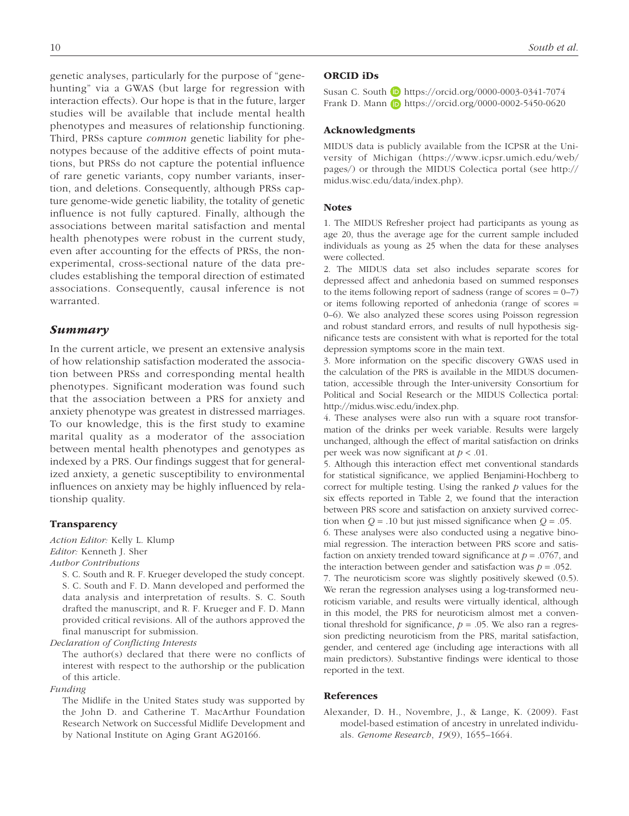genetic analyses, particularly for the purpose of "genehunting" via a GWAS (but large for regression with interaction effects). Our hope is that in the future, larger studies will be available that include mental health phenotypes and measures of relationship functioning. Third, PRSs capture *common* genetic liability for phenotypes because of the additive effects of point mutations, but PRSs do not capture the potential influence of rare genetic variants, copy number variants, insertion, and deletions. Consequently, although PRSs capture genome-wide genetic liability, the totality of genetic influence is not fully captured. Finally, although the associations between marital satisfaction and mental health phenotypes were robust in the current study, even after accounting for the effects of PRSs, the nonexperimental, cross-sectional nature of the data precludes establishing the temporal direction of estimated associations. Consequently, causal inference is not warranted.

## *Summary*

In the current article, we present an extensive analysis of how relationship satisfaction moderated the association between PRSs and corresponding mental health phenotypes. Significant moderation was found such that the association between a PRS for anxiety and anxiety phenotype was greatest in distressed marriages. To our knowledge, this is the first study to examine marital quality as a moderator of the association between mental health phenotypes and genotypes as indexed by a PRS. Our findings suggest that for generalized anxiety, a genetic susceptibility to environmental influences on anxiety may be highly influenced by relationship quality.

## Transparency

*Action Editor:* Kelly L. Klump *Editor:* Kenneth J. Sher *Author Contributions*

S. C. South and R. F. Krueger developed the study concept. S. C. South and F. D. Mann developed and performed the data analysis and interpretation of results. S. C. South drafted the manuscript, and R. F. Krueger and F. D. Mann provided critical revisions. All of the authors approved the final manuscript for submission.

*Declaration of Conflicting Interests*

The author(s) declared that there were no conflicts of interest with respect to the authorship or the publication of this article.

### *Funding*

The Midlife in the United States study was supported by the John D. and Catherine T. MacArthur Foundation Research Network on Successful Midlife Development and by National Institute on Aging Grant AG20166.

#### ORCID iDs

Susan C. South **b** https://orcid.org/0000-0003-0341-7074 Frank D. Mann D https://orcid.org/0000-0002-5450-0620

#### Acknowledgments

MIDUS data is publicly available from the ICPSR at the University of Michigan (https://www.icpsr.umich.edu/web/ pages/) or through the MIDUS Colectica portal (see http:// midus.wisc.edu/data/index.php).

## **Notes**

1. The MIDUS Refresher project had participants as young as age 20, thus the average age for the current sample included individuals as young as 25 when the data for these analyses were collected.

2. The MIDUS data set also includes separate scores for depressed affect and anhedonia based on summed responses to the items following report of sadness (range of scores = 0–7) or items following reported of anhedonia (range of scores = 0–6). We also analyzed these scores using Poisson regression and robust standard errors, and results of null hypothesis significance tests are consistent with what is reported for the total depression symptoms score in the main text.

3. More information on the specific discovery GWAS used in the calculation of the PRS is available in the MIDUS documentation, accessible through the Inter-university Consortium for Political and Social Research or the MIDUS Collectica portal: http://midus.wisc.edu/index.php.

4. These analyses were also run with a square root transformation of the drinks per week variable. Results were largely unchanged, although the effect of marital satisfaction on drinks per week was now significant at *p* < .01.

5. Although this interaction effect met conventional standards for statistical significance, we applied Benjamini-Hochberg to correct for multiple testing. Using the ranked *p* values for the six effects reported in Table 2, we found that the interaction between PRS score and satisfaction on anxiety survived correction when *Q* = .10 but just missed significance when *Q* = .05.

6. These analyses were also conducted using a negative binomial regression. The interaction between PRS score and satisfaction on anxiety trended toward significance at *p* = .0767, and the interaction between gender and satisfaction was *p* = .052.

7. The neuroticism score was slightly positively skewed (0.5). We reran the regression analyses using a log-transformed neuroticism variable, and results were virtually identical, although in this model, the PRS for neuroticism almost met a conventional threshold for significance,  $p = .05$ . We also ran a regression predicting neuroticism from the PRS, marital satisfaction, gender, and centered age (including age interactions with all main predictors). Substantive findings were identical to those reported in the text.

#### References

Alexander, D. H., Novembre, J., & Lange, K. (2009). Fast model-based estimation of ancestry in unrelated individuals. *Genome Research*, *19*(9), 1655–1664.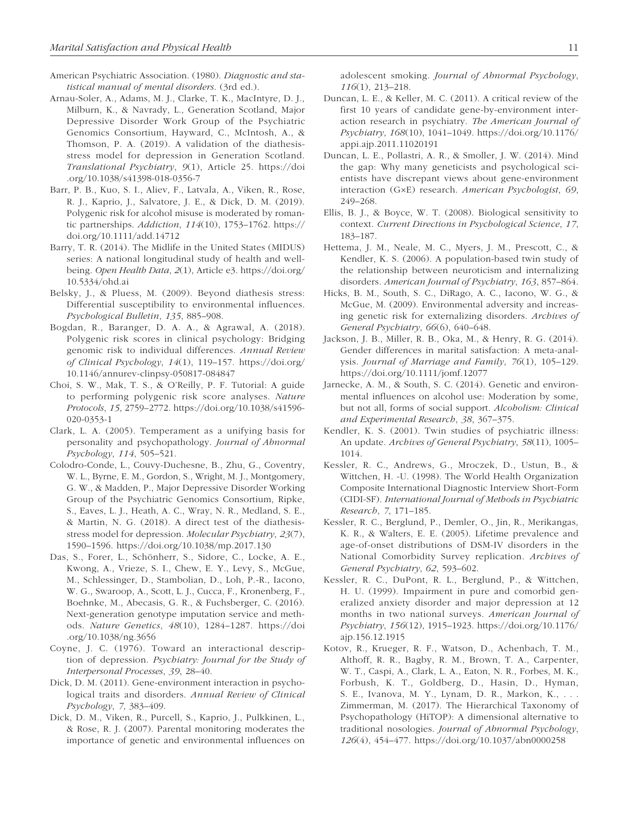- American Psychiatric Association. (1980). *Diagnostic and statistical manual of mental disorders*. (3rd ed.).
- Arnau-Soler, A., Adams, M. J., Clarke, T. K., MacIntyre, D. J., Milburn, K., & Navrady, L., Generation Scotland, Major Depressive Disorder Work Group of the Psychiatric Genomics Consortium, Hayward, C., McIntosh, A., & Thomson, P. A. (2019). A validation of the diathesisstress model for depression in Generation Scotland. *Translational Psychiatry*, *9*(1), Article 25. https://doi .org/10.1038/s41398-018-0356-7
- Barr, P. B., Kuo, S. I., Aliev, F., Latvala, A., Viken, R., Rose, R. J., Kaprio, J., Salvatore, J. E., & Dick, D. M. (2019). Polygenic risk for alcohol misuse is moderated by romantic partnerships. *Addiction*, *114*(10), 1753–1762. https:// doi.org/10.1111/add.14712
- Barry, T. R. (2014). The Midlife in the United States (MIDUS) series: A national longitudinal study of health and wellbeing. *Open Health Data*, *2*(1), Article e3. https://doi.org/ 10.5334/ohd.ai
- Belsky, J., & Pluess, M. (2009). Beyond diathesis stress: Differential susceptibility to environmental influences. *Psychological Bulletin*, *135*, 885–908.
- Bogdan, R., Baranger, D. A. A., & Agrawal, A. (2018). Polygenic risk scores in clinical psychology: Bridging genomic risk to individual differences. *Annual Review of Clinical Psychology*, *14*(1), 119–157. https://doi.org/ 10.1146/annurev-clinpsy-050817-084847
- Choi, S. W., Mak, T. S., & O'Reilly, P. F. Tutorial: A guide to performing polygenic risk score analyses. *Nature Protocols*, *15*, 2759–2772. https://doi.org/10.1038/s41596- 020-0353-1
- Clark, L. A. (2005). Temperament as a unifying basis for personality and psychopathology. *Journal of Abnormal Psychology*, *114*, 505–521.
- Colodro-Conde, L., Couvy-Duchesne, B., Zhu, G., Coventry, W. L., Byrne, E. M., Gordon, S., Wright, M. J., Montgomery, G. W., & Madden, P., Major Depressive Disorder Working Group of the Psychiatric Genomics Consortium, Ripke, S., Eaves, L. J., Heath, A. C., Wray, N. R., Medland, S. E., & Martin, N. G. (2018). A direct test of the diathesisstress model for depression. *Molecular Psychiatry*, *23*(7), 1590–1596. https://doi.org/10.1038/mp.2017.130
- Das, S., Forer, L., Schönherr, S., Sidore, C., Locke, A. E., Kwong, A., Vrieze, S. I., Chew, E. Y., Levy, S., McGue, M., Schlessinger, D., Stambolian, D., Loh, P.-R., Iacono, W. G., Swaroop, A., Scott, L. J., Cucca, F., Kronenberg, F., Boehnke, M., Abecasis, G. R., & Fuchsberger, C. (2016). Next-generation genotype imputation service and methods. *Nature Genetics*, *48*(10), 1284–1287. https://doi .org/10.1038/ng.3656
- Coyne, J. C. (1976). Toward an interactional description of depression. *Psychiatry: Journal for the Study of Interpersonal Processes*, *39*, 28–40.
- Dick, D. M. (2011). Gene-environment interaction in psychological traits and disorders. *Annual Review of Clinical Psychology*, *7*, 383–409.
- Dick, D. M., Viken, R., Purcell, S., Kaprio, J., Pulkkinen, L., & Rose, R. J. (2007). Parental monitoring moderates the importance of genetic and environmental influences on

adolescent smoking. *Journal of Abnormal Psychology*, *116*(1), 213–218.

- Duncan, L. E., & Keller, M. C. (2011). A critical review of the first 10 years of candidate gene-by-environment interaction research in psychiatry. *The American Journal of Psychiatry*, *168*(10), 1041–1049. https://doi.org/10.1176/ appi.ajp.2011.11020191
- Duncan, L. E., Pollastri, A. R., & Smoller, J. W. (2014). Mind the gap: Why many geneticists and psychological scientists have discrepant views about gene-environment interaction (G×E) research. *American Psychologist*, *69*, 249–268.
- Ellis, B. J., & Boyce, W. T. (2008). Biological sensitivity to context. *Current Directions in Psychological Science*, *17*, 183–187.
- Hettema, J. M., Neale, M. C., Myers, J. M., Prescott, C., & Kendler, K. S. (2006). A population-based twin study of the relationship between neuroticism and internalizing disorders. *American Journal of Psychiatry*, *163*, 857–864.
- Hicks, B. M., South, S. C., DiRago, A. C., Iacono, W. G., & McGue, M. (2009). Environmental adversity and increasing genetic risk for externalizing disorders. *Archives of General Psychiatry*, *66*(6), 640–648.
- Jackson, J. B., Miller, R. B., Oka, M., & Henry, R. G. (2014). Gender differences in marital satisfaction: A meta-analysis. *Journal of Marriage and Family*, *76*(1), 105–129. https://doi.org/10.1111/jomf.12077
- Jarnecke, A. M., & South, S. C. (2014). Genetic and environmental influences on alcohol use: Moderation by some, but not all, forms of social support. *Alcoholism: Clinical and Experimental Research*, *38*, 367–375.
- Kendler, K. S. (2001). Twin studies of psychiatric illness: An update. *Archives of General Psychiatry*, *58*(11), 1005– 1014.
- Kessler, R. C., Andrews, G., Mroczek, D., Ustun, B., & Wittchen, H. -U. (1998). The World Health Organization Composite International Diagnostic Interview Short-Form (CIDI-SF). *International Journal of Methods in Psychiatric Research*, *7*, 171–185.
- Kessler, R. C., Berglund, P., Demler, O., Jin, R., Merikangas, K. R., & Walters, E. E. (2005). Lifetime prevalence and age-of-onset distributions of DSM-IV disorders in the National Comorbidity Survey replication. *Archives of General Psychiatry*, *62*, 593–602.
- Kessler, R. C., DuPont, R. L., Berglund, P., & Wittchen, H. U. (1999). Impairment in pure and comorbid generalized anxiety disorder and major depression at 12 months in two national surveys. *American Journal of Psychiatry*, *156*(12), 1915–1923. https://doi.org/10.1176/ ajp.156.12.1915
- Kotov, R., Krueger, R. F., Watson, D., Achenbach, T. M., Althoff, R. R., Bagby, R. M., Brown, T. A., Carpenter, W. T., Caspi, A., Clark, L. A., Eaton, N. R., Forbes, M. K., Forbush, K. T., Goldberg, D., Hasin, D., Hyman, S. E., Ivanova, M. Y., Lynam, D. R., Markon, K., . . . Zimmerman, M. (2017). The Hierarchical Taxonomy of Psychopathology (HiTOP): A dimensional alternative to traditional nosologies. *Journal of Abnormal Psychology*, *126*(4), 454–477. https://doi.org/10.1037/abn0000258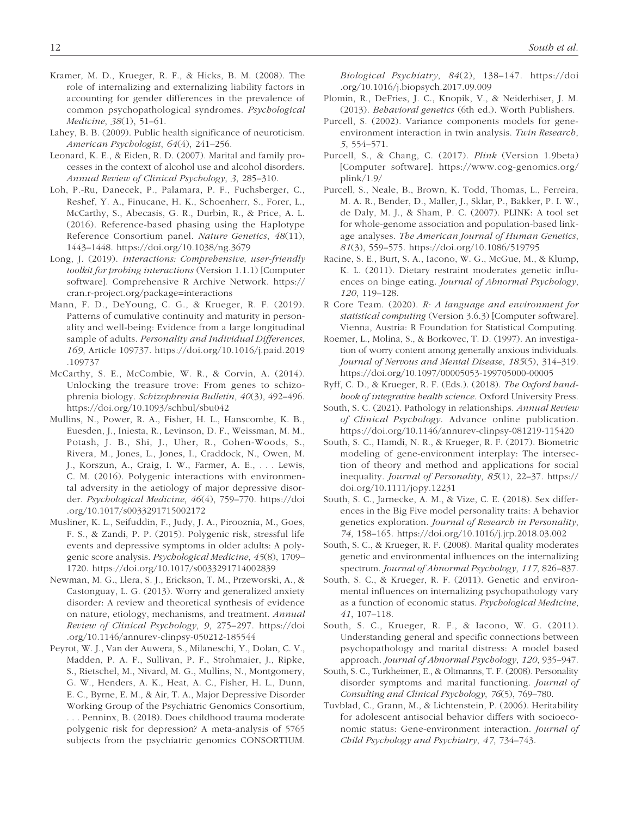- Kramer, M. D., Krueger, R. F., & Hicks, B. M. (2008). The role of internalizing and externalizing liability factors in accounting for gender differences in the prevalence of common psychopathological syndromes. *Psychological Medicine*, *38*(1), 51–61.
- Lahey, B. B. (2009). Public health significance of neuroticism. *American Psychologist*, *64*(4), 241–256.
- Leonard, K. E., & Eiden, R. D. (2007). Marital and family processes in the context of alcohol use and alcohol disorders. *Annual Review of Clinical Psychology*, *3*, 285–310.
- Loh, P.-Ru, Danecek, P., Palamara, P. F., Fuchsberger, C., Reshef, Y. A., Finucane, H. K., Schoenherr, S., Forer, L., McCarthy, S., Abecasis, G. R., Durbin, R., & Price, A. L. (2016). Reference-based phasing using the Haplotype Reference Consortium panel. *Nature Genetics*, *48*(11), 1443–1448. https://doi.org/10.1038/ng.3679
- Long, J. (2019). *interactions: Comprehensive, user-friendly toolkit for probing interactions* (Version 1.1.1) [Computer software]. Comprehensive R Archive Network. https:// cran.r-project.org/package=interactions
- Mann, F. D., DeYoung, C. G., & Krueger, R. F. (2019). Patterns of cumulative continuity and maturity in personality and well-being: Evidence from a large longitudinal sample of adults. *Personality and Individual Differences*, *169*, Article 109737. https://doi.org/10.1016/j.paid.2019 .109737
- McCarthy, S. E., McCombie, W. R., & Corvin, A. (2014). Unlocking the treasure trove: From genes to schizophrenia biology. *Schizophrenia Bulletin*, *40*(3), 492–496. https://doi.org/10.1093/schbul/sbu042
- Mullins, N., Power, R. A., Fisher, H. L., Hanscombe, K. B., Euesden, J., Iniesta, R., Levinson, D. F., Weissman, M. M., Potash, J. B., Shi, J., Uher, R., Cohen-Woods, S., Rivera, M., Jones, L., Jones, I., Craddock, N., Owen, M. J., Korszun, A., Craig, I. W., Farmer, A. E., . . . Lewis, C. M. (2016). Polygenic interactions with environmental adversity in the aetiology of major depressive disorder. *Psychological Medicine*, *46*(4), 759–770. https://doi .org/10.1017/s0033291715002172
- Musliner, K. L., Seifuddin, F., Judy, J. A., Pirooznia, M., Goes, F. S., & Zandi, P. P. (2015). Polygenic risk, stressful life events and depressive symptoms in older adults: A polygenic score analysis. *Psychological Medicine*, *45*(8), 1709– 1720. https://doi.org/10.1017/s0033291714002839
- Newman, M. G., Llera, S. J., Erickson, T. M., Przeworski, A., & Castonguay, L. G. (2013). Worry and generalized anxiety disorder: A review and theoretical synthesis of evidence on nature, etiology, mechanisms, and treatment. *Annual Review of Clinical Psychology*, *9*, 275–297. https://doi .org/10.1146/annurev-clinpsy-050212-185544
- Peyrot, W. J., Van der Auwera, S., Milaneschi, Y., Dolan, C. V., Madden, P. A. F., Sullivan, P. F., Strohmaier, J., Ripke, S., Rietschel, M., Nivard, M. G., Mullins, N., Montgomery, G. W., Henders, A. K., Heat, A. C., Fisher, H. L., Dunn, E. C., Byrne, E. M., & Air, T. A., Major Depressive Disorder Working Group of the Psychiatric Genomics Consortium, . . . Penninx, B. (2018). Does childhood trauma moderate polygenic risk for depression? A meta-analysis of 5765 subjects from the psychiatric genomics CONSORTIUM.

*Biological Psychiatry*, *84*(2), 138–147. https://doi .org/10.1016/j.biopsych.2017.09.009

- Plomin, R., DeFries, J. C., Knopik, V., & Neiderhiser, J. M. (2013). *Behavioral genetics* (6th ed.). Worth Publishers.
- Purcell, S. (2002). Variance components models for geneenvironment interaction in twin analysis. *Twin Research*, *5*, 554–571.
- Purcell, S., & Chang, C. (2017). *Plink* (Version 1.9beta) [Computer software]. https://www.cog-genomics.org/ plink/1.9/
- Purcell, S., Neale, B., Brown, K. Todd, Thomas, L., Ferreira, M. A. R., Bender, D., Maller, J., Sklar, P., Bakker, P. I. W., de Daly, M. J., & Sham, P. C. (2007). PLINK: A tool set for whole-genome association and population-based linkage analyses. *The American Journal of Human Genetics*, *81*(3), 559–575. https://doi.org/10.1086/519795
- Racine, S. E., Burt, S. A., Iacono, W. G., McGue, M., & Klump, K. L. (2011). Dietary restraint moderates genetic influences on binge eating. *Journal of Abnormal Psychology*, *120*, 119–128.
- R Core Team. (2020). *R: A language and environment for statistical computing* (Version 3.6.3) [Computer software]. Vienna, Austria: R Foundation for Statistical Computing.
- Roemer, L., Molina, S., & Borkovec, T. D. (1997). An investigation of worry content among generally anxious individuals. *Journal of Nervous and Mental Disease*, *185*(5), 314–319. https://doi.org/10.1097/00005053-199705000-00005
- Ryff, C. D., & Krueger, R. F. (Eds.). (2018). *The Oxford handbook of integrative health science*. Oxford University Press.
- South, S. C. (2021). Pathology in relationships. *Annual Review of Clinical Psychology*. Advance online publication. https://doi.org/10.1146/annurev-clinpsy-081219-115420
- South, S. C., Hamdi, N. R., & Krueger, R. F. (2017). Biometric modeling of gene-environment interplay: The intersection of theory and method and applications for social inequality. *Journal of Personality*, *85*(1), 22–37. https:// doi.org/10.1111/jopy.12231
- South, S. C., Jarnecke, A. M., & Vize, C. E. (2018). Sex differences in the Big Five model personality traits: A behavior genetics exploration. *Journal of Research in Personality*, *74*, 158–165. https://doi.org/10.1016/j.jrp.2018.03.002
- South, S. C., & Krueger, R. F. (2008). Marital quality moderates genetic and environmental influences on the internalizing spectrum. *Journal of Abnormal Psychology*, *117*, 826–837.
- South, S. C., & Krueger, R. F. (2011). Genetic and environmental influences on internalizing psychopathology vary as a function of economic status. *Psychological Medicine*, *41*, 107–118.
- South, S. C., Krueger, R. F., & Iacono, W. G. (2011). Understanding general and specific connections between psychopathology and marital distress: A model based approach. *Journal of Abnormal Psychology*, *120*, 935–947.
- South, S. C., Turkheimer, E., & Oltmanns, T. F. (2008). Personality disorder symptoms and marital functioning. *Journal of Consulting and Clinical Psychology*, *76*(5), 769–780.
- Tuvblad, C., Grann, M., & Lichtenstein, P. (2006). Heritability for adolescent antisocial behavior differs with socioeconomic status: Gene-environment interaction. *Journal of Child Psychology and Psychiatry*, *47*, 734–743.